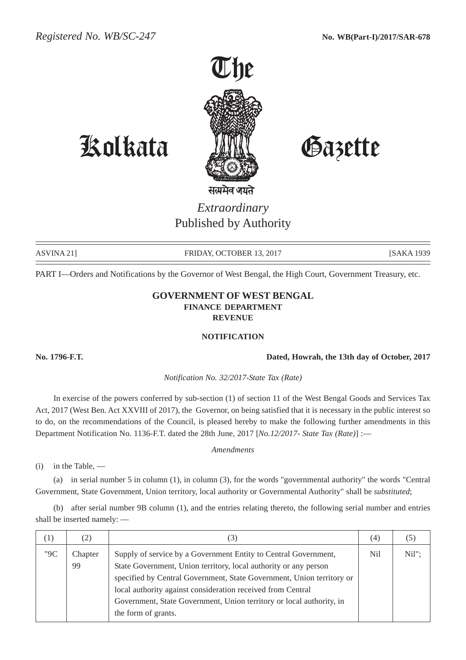

## Kolkata Gazette

*Extraordinary* Published by Authority

ASVINA 21] FRIDAY, OCTOBER 13, 2017 [SAKA 1939]

PART I—Orders and Notifications by the Governor of West Bengal, the High Court, Government Treasury, etc.

## **GOVERNMENT OF WEST BENGAL FINANCE DEPARTMENT REVENUE**

## **NOTIFICATION**

**No. 1796-F.T. Dated, Howrah, the 13th day of October, 2017**

*Notification No. 32/2017-State Tax (Rate)*

In exercise of the powers conferred by sub-section (1) of section 11 of the West Bengal Goods and Services Tax Act, 2017 (West Ben. Act XXVIII of 2017), the Governor, on being satisfied that it is necessary in the public interest so to do, on the recommendations of the Council, is pleased hereby to make the following further amendments in this Department Notification No. 1136-F.T. dated the 28th June, 2017 [*No.12/2017- State Tax (Rate)*] :—

*Amendments*

(i) in the Table, —

(a) in serial number 5 in column (1), in column (3), for the words "governmental authority" the words "Central Government, State Government, Union territory, local authority or Governmental Authority" shall be *substituted*;

(b) after serial number 9B column (1), and the entries relating thereto, the following serial number and entries shall be inserted namely: —

| $\left( \frac{1}{2} \right)$ | (2)           |                                                                                                                                                                                                                                     | (4) |          |
|------------------------------|---------------|-------------------------------------------------------------------------------------------------------------------------------------------------------------------------------------------------------------------------------------|-----|----------|
| "9C                          | Chapter<br>99 | Supply of service by a Government Entity to Central Government,<br>State Government, Union territory, local authority or any person                                                                                                 | Nil | $Nil"$ : |
|                              |               | specified by Central Government, State Government, Union territory or<br>local authority against consideration received from Central<br>Government, State Government, Union territory or local authority, in<br>the form of grants. |     |          |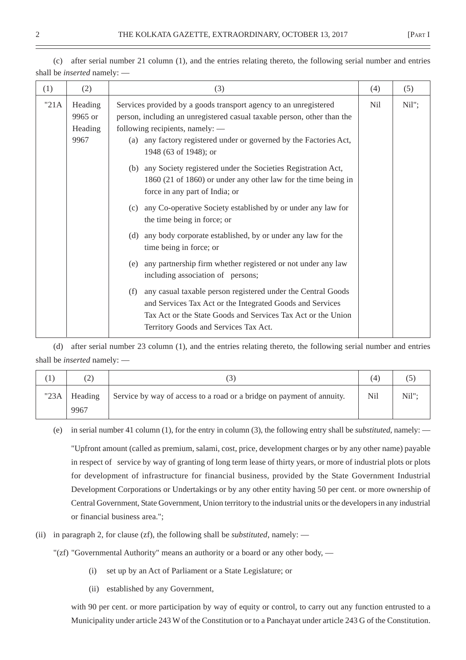| (1)   | (2)                                   | (3)                                                                                                                                                                                                                                                                              | (4) | (5)   |
|-------|---------------------------------------|----------------------------------------------------------------------------------------------------------------------------------------------------------------------------------------------------------------------------------------------------------------------------------|-----|-------|
| "21A" | Heading<br>9965 or<br>Heading<br>9967 | Services provided by a goods transport agency to an unregistered<br>person, including an unregistered casual taxable person, other than the<br>following recipients, namely: —<br>any factory registered under or governed by the Factories Act,<br>(a)<br>1948 (63 of 1948); or | Nil | Nil"; |
|       |                                       | (b) any Society registered under the Societies Registration Act,<br>1860 (21 of 1860) or under any other law for the time being in<br>force in any part of India; or                                                                                                             |     |       |
|       |                                       | any Co-operative Society established by or under any law for<br>(c)<br>the time being in force; or                                                                                                                                                                               |     |       |
|       |                                       | any body corporate established, by or under any law for the<br>(d)<br>time being in force; or                                                                                                                                                                                    |     |       |
|       |                                       | any partnership firm whether registered or not under any law<br>(e)<br>including association of persons;                                                                                                                                                                         |     |       |
|       |                                       | any casual taxable person registered under the Central Goods<br>(f)<br>and Services Tax Act or the Integrated Goods and Services<br>Tax Act or the State Goods and Services Tax Act or the Union<br>Territory Goods and Services Tax Act.                                        |     |       |

(c) after serial number 21 column (1), and the entries relating thereto, the following serial number and entries shall be *inserted* namely: —

(d) after serial number 23 column (1), and the entries relating thereto, the following serial number and entries shall be *inserted* namely: —

|      | (2)             |                                                                       | $\left(4\right)$ |       |
|------|-----------------|-----------------------------------------------------------------------|------------------|-------|
| "23A | Heading<br>9967 | Service by way of access to a road or a bridge on payment of annuity. | Nil              | Nil"; |

(e) in serial number 41 column (1), for the entry in column (3), the following entry shall be *substituted*, namely: —

"Upfront amount (called as premium, salami, cost, price, development charges or by any other name) payable in respect of service by way of granting of long term lease of thirty years, or more of industrial plots or plots for development of infrastructure for financial business, provided by the State Government Industrial Development Corporations or Undertakings or by any other entity having 50 per cent. or more ownership of Central Government, State Government, Union territory to the industrial units or the developers in any industrial or financial business area.";

- (ii) in paragraph 2, for clause (zf), the following shall be *substituted*, namely:
	- "(zf) "Governmental Authority" means an authority or a board or any other body,
		- (i) set up by an Act of Parliament or a State Legislature; or
		- (ii) established by any Government,

with 90 per cent. or more participation by way of equity or control, to carry out any function entrusted to a Municipality under article 243 W of the Constitution or to a Panchayat under article 243 G of the Constitution.